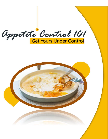

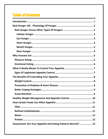# **Table of Contents**

| Healthy Weight Management And Appetite Control  10            |
|---------------------------------------------------------------|
|                                                               |
|                                                               |
|                                                               |
|                                                               |
|                                                               |
| Assessment: Are Your Appetite And Eating Patterns Normal?  13 |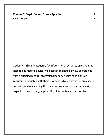Disclaimer: This publication is for informational purposes only and is not intended as medical advice. Medical advice should always be obtained from a qualified medical professional for any health conditions or symptoms associated with them. Every possible effort has been made in preparing and researching this material. We make no warranties with respect to the accuracy, applicability of its contents or any omissions.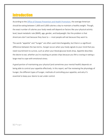## <span id="page-3-0"></span>**Introduction**

According to the [Office of Disease Prevention and Health Promotion,](https://health.gov/our-work/food-nutrition/2015-2020-dietary-guidelines/guidelines/appendix-2) the average American should be eating between 1,600 and 3,000 calories a day to maintain a healthy weight. Though, the exact number of calories your body needs will depend on factors like your physical activity level, basal metabolic rate (BMR), age, gender, and bodyweight. But the problem is that Americans don't eat because they *have* to — most people will eat because they *want* to.

The words "appetite" and "hunger" are often used interchangeably, but there is a significant difference between the two terms. *Hunger* occurs when your body signals to your mind that you need nourishment to survive, such as when your blood glucose levels drop. *Appetite* describes the desire to eat, whether you're snacking on potato chips because you felt a craving or eating a large meal to cope with emotional stress.

A good portion of maintaining your physical (and sometimes your mental health) depends on being able to control your appetite effectively. In this report, we'll be reviewing the physiology of hunger, the different types of hunger, methods of controlling your appetite, and why it's essential to keep your desire to eat under control.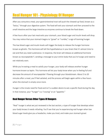## <span id="page-4-0"></span>Real Hunger 101 - Physiology Of Hunger

After you consume a meal, your gastrointestinal tract will push the chewed-up food, known as a "bolus," through your digestive system. The food will exit your stomach and then proceed to the small intestine and the large intestine as enzymes continue to break the food down.

A few hours after your last meal exits your stomach, your blood sugar and insulin levels will drop. You may notice that your stomach begins to "growl" or "rumble," a sign of looming hunger.

The low blood sugar and insulin levels will trigger the body to release the hunger hormone known as ghrelin. This hormone will tell the hypothalamus in your brain that it's almost time to eat and that you need sustenance. In response, the brain will release an additional hormone known as neuropeptide Y, sending a message to your entire body that you're hungry and need to eat relatively soon.

While you're eating a meal to satisfy your hunger, your body will release another hunger hormone known as leptin. This hormone will let your body know when you're feeling full and decrease the amount of neuropeptide Y flowing through your bloodstream. About 5 to 20 minutes after a meal, you'll feel satiated, and the process will begin again within a few hours when the stomach is empty once more.

Hunger is the innate need for food and isn't a sudden desire to eat a specific food during the day. In that instance, your "hunger" is a "craving" or an "appetite."

### <span id="page-4-1"></span>Real Hunger Versus Other Types Of Hungers

"Real" hunger is what we just reviewed in the last section, a type of hunger that develops when your body knows it needs refueling. You'll see that you're experiencing real hunger when low blood sugar levels give you a headache, make you tired, and make your stomach growl.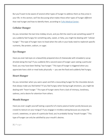But you'll want to be aware of several other types of hunger to address them as they arise in your life. In this section, we'll be discussing what makes these other types of hunger *different*  than real hunger *and* how to identify them, according to [Tufts Medical Center.](https://www.tuftsmedicalcenter.org/patient-care-services/departments-and-services/weight-and-wellness-center/patient-resources/tips-for-wwc-patients/seven-types-of-hunger)

#### <span id="page-5-0"></span>**Cellular Hunger**

Do you remember the last time midday struck, and you felt the *need* to eat something sweet? If you suddenly feel hungry for something salty, sweet, or fatty, you might be dealing with "cellular hunger." This type of hunger rears its head when the cells in your body need to replenish specific nutrients, like protein, sodium, or sugar.

#### <span id="page-5-1"></span>**Eye Hunger**

Have you ever laid eyes on a beautifully prepared slice of cheesecake with strawberry syrup drizzled along the top? If you suddenly felt a second wave of hunger upon seeing a particular food, you may have been feeling "eye hunger." This type of hunger is triggered when you appreciate how a dish or meal looks physically — you see the food and suddenly feel hungry.

#### <span id="page-5-2"></span>**Heart Hunger**

Do you remember when you were upset and felt a resounding hunger for the chocolate donuts that *always* make you feel better? If you feel hungry when facing tough emotions, you might be dealing with "heart hunger." This type of hunger stems from a lack of intimacy, loneliness, sadness, and a desire for attention from others.

#### <span id="page-5-3"></span>**Mouth Hunger**

Have you ever caught yourself eating a spoonful of creamy peanut butter purely because you craved its texture on your tongue? If you engage in mindless eating because you enjoy the crunch, sweetness, or spice of a particular food, you're probably facing "mouth hunger." This type of hunger can only be satisfied by your mouth's desires.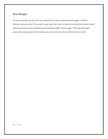### <span id="page-6-0"></span>**Nose Hunger**

Do you remember the last time you walked into a fancy restaurant and caught a whiff of delicious barbecue ribs? If you didn't even need the menu to decide to order the rib dish, there's a good chance you were experiencing something called "nose hunger." This type of hunger arises when your sense of smell allows you to envision the taste of the food you smell.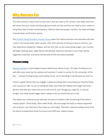### <span id="page-7-0"></span>Why Humans Eat

The most common reason that humans eat is that you have to for survival. Your body and mind will sense that your insulin and blood glucose levels are low and that you need to eat in order to bring them back to their normal baseline. Without food and proper nutrition, the body will begin to break down and function poorly.

The [Scottish Eating Disorders Interest Group](https://www.sedig.org/physical-and-psychological-effects-of-the-starvation-syndrome) states the malnourishment and starvation will take a toll on the human body rather quickly. After short periods of fasting or lack of nutrition, you may experience headaches, fatigue, and hair loss. But, as you avoid eating longer, your muscles will begin wasting away, organ failure will develop, electrical impulses in your heart will be negatively impacted, and bones will become brittle and easily breakable.

#### <span id="page-7-1"></span>Pleasure Eating

[Pleasure eating](https://www.livescience.com/36313-eat-pleasure-reward-dessert.html) is a psychological reason behind your desire to eat. This type of eating occurs well-after your body has the calories and nutrients it needs to survive for the remainder of the day — instead of being hungry and *needing* to eat, you're deciding to eat because you want to.

There's a good chance that you engage in pleasure eating when consuming your favorite foods, such as pizza or cake. As you're eating this food, your body will release the hunger hormone, ghrelin, that tells your body that you're still not full, even though you might be. In normal hunger, your body would trigger leptin release to let you know that you're full.

The reason you continue to eat well-past the point of satiety is the functioning of the brain's reward system. Some foods, often sweet foods, will encourage the body to release dopamine and serotonin, two hormones that make you feel happy. Therefore, pleasure eating comes from the desire to experience those hormones and fulfill your reward system.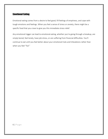### <span id="page-8-0"></span>Emotional Eating

Emotional eating comes from a desire to feel good, fill feelings of emptiness, and cope with tough emotions and feelings. When you feel a sense of stress or anxiety, there might be a specific food that you crave to give you this immediate stress relief.

Any emotional trigger can lead to emotional eating, whether you're going through a breakup, are simply bored, feel lonely, have job stress, or are suffering from financial difficulties. You'll continue to eat until you feel better about your emotional trials and tribulations rather than when you feel "full."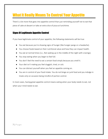# <span id="page-9-0"></span>What It Really Means To Control Your Appetite

There's a lot more that goes into appetite control than just reminding yourself not to eat that piece of cake at dessert or take an extra slice of pizza at lunchtime.

### <span id="page-9-1"></span>Signs Of Legitimate Appetite Control

If you have legitimate control of your appetite, the following statements will be true:

- You eat because you're showing signs of hunger (like hunger pangs or a headache).
- You choose foods based on their nutritional value and how they can impact health.
- You eat at normal times (i.e., Not waking up in the middle of the night with cravings).
- You stop eating when you begin to feel full.
- You don't feel the *need* to eat a certain food simply because you smell it.
- Your diet isn't making you feel sluggish, tired, or sick.
- You can distract yourself when you feel an appetite coming on.
- You are in control of your food intake. You do not binge on junk food and you indulge in treats only on occasion being mindful of portion control.

In most cases, having great appetite control means eating when your body needs to eat, not when your mind needs to eat.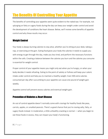# <span id="page-10-0"></span>The Benefits Of Controlling Your Appetite

The benefits of controlling your appetite seem quite evident to the naked eye. For example, not splurging on fatty or sugary foods during the day can keep your weight under control and avoid the development of conditions like heart disease. Below, we'll review some benefits of appetite control and why these results may occur.

### <span id="page-10-1"></span>Weight Control

Your body is always burning calories to stay alive, whether you're sitting at your desk, taking a nap, or exercising at the gym. Eating food gives your body the calories it needs to supply you with energy to get through the day, make you less tired, and perform the necessary functions within the cells. Creating a balance between the calories you burn and the calories you consume is essential for weight control.

Proper control of your appetite means you might only eat when you're hungry, or when your body decides it needs refueling. Eating to the point of satiety or fullness will keep your caloric intake under control and help you to maintain a healthy weight. Even 500 *extra* calories consumed per day after succumbing to your appetite can cause one pound of weight gain weekly.

Appetite control will prevent excess calories and eventual weight gain.

### <span id="page-10-2"></span>Prevention of Diabetes & Heart Disease

An out of control appetite doesn't normally come with cravings for healthy foods like peas, carrots, apples, or unsalted peanuts. There's a good chance that you're craving salty, fatty, or sugary foods instead. In moderation, a little unhealthy snacking is normal — when you begin to eat these foods in excess, they can impact your body's functioning.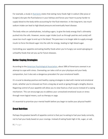For example, a study in [Nutrients](https://www.ncbi.nlm.nih.gov/pmc/articles/PMC6770596/) states that eating many foods high in sodium (like pizza or burgers) disrupts the fluid balance in your kidneys and forces your heart to pump harder to supply blood to the body while accounting for the fluid retention. In the long-term, too much sodium intake can lead to high blood pressure and eventually heart disease.

The body relies on carbohydrates, including sugars, to give the body energy that's ultimately pushed into the cells. However, excess sugar intake (such as through pastries and candy) will cause too much sugar to end up in the blood. The pancreas is no longer able to supply enough insulin to force the blood sugar into the cells for energy, leading to high blood sugar.

Controlling your appetite and eating *healthy* foods when you're hungry can avoid splurging on unhealthy foods that set you up for future diseases.

#### <span id="page-11-0"></span>Better Coping Strategies

According to the [American Psychological Association,](https://www.apa.org/news/press/releases/stress/2013/eating) about 38% of Americans overeat in an attempt to cope with stress. Overeating can take a toll on your physique and your body composition, but it also sets a dangerous precedent for your emotional health.

It's crucial to develop positive and healthy coping strategies to deal with mental and emotional strain, whether you're stressed out from a long day at work or going through a lengthy divorce. Regaining control of your appetite will allow you to view food as a fuel source instead of a coping mechanism. This can encourage you to address your unresolved emotional issues or stress through more logical means, such as therapy or yoga.

It's essential to prioritize your mental health before you begin to tackle your physical health!

#### <span id="page-11-1"></span>Great Nutrition

Perhaps the greatest benefit of appetite control is that you're eating to fuel your body correctly, not to fuel your body based on your cravings. Instead of eating foods high in fat, sugar, or salt,

9 | P a g e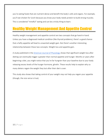you're eating foods that are nutrient-dense and benefit the body's cells and organs. For example, you'll eat chicken for lunch because you know your body needs protein to build strong muscles. This is considered "mindful" eating and can be a tricky thing to learn.

# <span id="page-12-0"></span>Healthy Weight Management And Appetite Control

Healthy weight management and appetite control are two concepts that go hand-in-hand. Unless you have a diagnosed medical condition (like thyroid problems), there's a good chance that a hefty appetite will lead to unwanted weight gain. But there's another interesting relationship between these two concepts: Weight loss and appetite gain.

A study published in th[e American Journal of Physiology](https://journals.physiology.org/doi/full/10.1152/ajpendo.00322.2017) shows that significant weight loss after dieting can eventually trigger a greater-than-normal appetite and hunger. Months or years after beginning a diet, you might notice that you're far hungrier than your baseline due to your body releasing excess levels of the hunger hormone, ghrelin. These results help to explain why so many dieters regain the weight they lost after their diet is over.

This study also shows that taking control of your weight *may not* help you regain your appetite (though, the vice versa is true).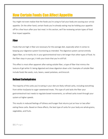# <span id="page-13-0"></span>How Certain Foods Can Affect Appetite

You might not even realize that the foods you're using to fuel your body are causing your unruly appetite. On the other hand, certain foods you're already eating may be holding your appetite off for a few hours after your last meal. In this section, we'll be reviewing certain types of food that impact appetite.

#### <span id="page-13-1"></span>Fiber

Foods that are high in fiber are necessary for the average diet, especially when it comes to keeping your digestive system functioning as intended. The digestive system cannot entirely digest fiber, so it mainly sits in your gastrointestinal tract a bit longer than other types of food. As the fiber stays in your gut, it tells your brain that you're still full.

This effect is most often apparent after eating soluble fiber, a type of fiber that mimics the texture of gel while it's being digested and slows digestion down a bit. Examples of soluble fiber include foods like seeds, nuts, beans, sweet potatoes, and broccoli.

### <span id="page-13-2"></span>Refined Carbohydrates

The majority of the carbs you're eating in your diet are likely refined carbs, including everything from white rice/pasta to sugar-sweetened treats. This type of carb lacks the fiber your gastrointestinal tract needs to regulate bowel movements, so refined carbs travel through your system at higher speeds.

This results in reduced feelings of fullness and hunger that returns just an hour or two after eating these carbs. Based on these effects, the best type of carbs for your body are whole grains, vegetables, and fruits.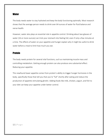#### <span id="page-14-0"></span>**Water**

The body needs water to stay hydrated and keep the body functioning optimally. Most research shows that the average person needs to drink over 64 ounces of water for fluid balance and nerve health.

However, water also plays an essential role in appetite control. Drinking about two glasses of water (16 or more ounces) can trick your stomach into feeling full, even if only a few minutes at a time. The effects of water on your appetite and hunger explain why it might be useful to drink water before a meal to limit how much you eat.

#### <span id="page-14-1"></span>Protein

The body needs protein for several vital functions, such as maintaining muscle mass and controlling metabolism. Getting enough protein can also produce one substantial effect: Reducing your appetite.

This newfound lower appetite comes from protein's ability to trigger hunger hormones in the body, specifically those that tell you that you're "full" shortly after eating and reduce the production of appetite-stimulating ghrelin. Adding foods like milk, chicken, yogurt, and fish to your diet can keep your appetite under better control.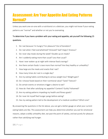## <span id="page-15-0"></span>Assessment: Are Your Appetite And Eating Patterns Normal?

Unless you work one-on-one with a nutritionist or a dietician, you might not know if your eating patterns are "normal" and whether or not you're overeating.

### To determine if you have a problem with your eating and appetite, ask yourself the following 15 questions.

- 1. Do I eat because I'm hungry? For pleasure? Out of boredom?
- 2. Do I eat when I feel overwhelmed? Stressed? Sad? Angry? Anxious?
- 3. Do I ever skip meals during the week? Double-up on meals?
- 4. Am I suddenly eating more than usual? Less than usual?
- 5. Have I ever woken up at night with intense food cravings?
- 6. Are there certain foods I crave more than normal? Are they healthy or unhealthy?
- 7. How large are the meals and snacks that I eat?
- 8. How many times do I eat in a single day?
- 9. Are my eating habits contributing to serious weight loss? Weight gain?
- 10. Do I choose foods based on their nutritional value? Taste? Texture?
- 11. Do certain events or emotions trigger a desire to eat?
- 12. How do I feel after satisfying my appetite? Content? Guilty? Ashamed?
- 13. Are my eating patterns impeding my health and fitness goals?
- 14. Do I ever let myself feel hunger pangs before eating?
- 15. Has my eating pattern led to the development of a medical condition? Which one?

By answering the questions in the list above, you can get a better gauge on what your current eating habits are like. This assessment can help you determine whether you eat for emotional reasons, adopt a wildly unhealthy diet, eat past the point of satiety, and eat purely for pleasure rather than satisfying real hunger.

13 | P a g e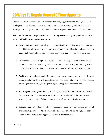# <span id="page-16-0"></span>20 Ways To Regain Control Of Your Appetite

There's a lot more to controlling your appetite than denying yourself food when you sense a craving coming on. Appetite control will typically stem from developing better self-control, making minor changes to your current diet, and addressing your emotional needs and stresses.

### Below, we'll describe 20 ways that you can work to regain control of your appetite and take your nutritional health back into your own hands.

- 1. Eat more protein. A diet that's high in lean protein (like meat, fish, and dairy) can trigger an additional release of hunger-suppressing hormones. So, think about adding protein to your diet through salmon, eggs, almonds, and peanut butter to feel fuller for longer.
- 2. Drink coffee. The 100 milligrams of caffeine and the chlorogenic acids in every cup of coffee may reduce hunger pangs and control your appetite. Start your morning with a cup of hot coffee for an energy boost and help hold your hunger off until lunchtime.
- 3. Decide on a set eating schedule. The human body craves consistency, which is why a set eating schedule can help with appetite control. Your body and mind will get accustomed to eating at certain times, holding off hunger and appetite until mealtimes.
- 4. Snack regularly throughout the day. Satisfying your appetite doesn't have to come in the form of a large and calorie-dense meal. Eating small snacks during the day, such as a granola bar or a handful of almonds, can keep you from overeating between meals.
- 5. Eat spicy food. Hot and spicy foods, such as jalapeno peppers or curry, make you feel full and encourage your body to burn more calories. These effects can help you to keep your appetite under control and trigger weight loss to a small extent.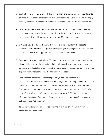- 6. Deal with your cravings. Everybody has food triggers and having access to your favorite cravings in your pantry or refrigerator is an unnecessary risk. Consider taking the chips, cookies, ice cream, or cake out of the house to limit your access. The cravings will pass.
- 7. Drink more water. There's a scientific link between drinking water before a meal and consuming more than 20% fewer calories during these meals. These results are more likely to occur if you drink a glass of water within 30 minutes of eating.
- 8. Get more exercise. Research shows that aerobic exercise can limit the appetitestimulating hormone known as ghrelin. Visiting the gym or going for a run can help you suppress an overzealous appetite that doesn't seem to fade away.
- 9. Eat slowly. It takes the brain about 20 minutes to register satiety. Harvard Health states, "Scientists have known for some time that a full stomach is only part of what causes someone to feel satisfied after a meal; the brain must also receive a series of signals from digestive hormones secreted by the gastrointestinal tract."

Zane Andrews (associate professor of physiology and a neuroscientist at Monash University who studies how food affects the brain) told the Huffington post, *"But it's not until that food gets into the stomach and into the gut that it starts to release satiety hormones which feed back to the brain to tell us we're full. "But that food needs to be chewed, to go down into the gut and to be processed a little bit. You need to start absorbing the glucose from the food and that happens generally quickly, but somewhere between five and 20 minutes."*

To eat slowly, take your time, pay attention to your food, enjoy, and chew your food thoroughly with each meal.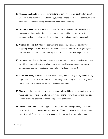- 10. Plan your meals out in advance. Cravings tend to come from complete freedom to eat what you want when you want. Planning your meals ahead of time, such as through meal prep, can keep healthy eating on track and avoid excess snacking.
- 11. Don't skip meals. Skipping meals is common for those who want to lose weight. Still, many people don't realize that it sends your appetite and hunger into overdrive breaking the fast typically results in you eating more food and calories than usual.
- 12. Avoid an all-liquid diet. Meal replacement shakes and liquid diets are popular for triggering weight loss, but they don't do much to control appetite. You're getting the nutrients you need yet feel the rumbling in your stomach after finishing the shake.
- 13. Get more sleep. Not getting enough sleep causes a spike in ghrelin, meaning you'll wake up with an appetite that you can hardly satisfy. Controlling your hunger hormones through rest requires at least seven hours of quality sleep every night.
- 14. Find a new hobby. If you eat in excess due to stress, then you may simply need a hobby to get your mind off of food. Think about adopting a new hobby, such as photography, reading, exercise, drawing, or learning to play an instrument.
- 15. Choose healthy snack alternatives. You can't entirely avoid building an appetite between meals. Yet, you do have control over how you decide to satisfy these cravings mid-day. Instead of sweets, eat healthy snacks like popcorn or trail mix.
- 16. Consume more fiber. Fiber is a type of carbohydrate that the digestive system cannot digest. With that said, eating a decent amount of fiber can help you feel full for a long time. Add high fiber foods like oranges and apples to your diet, especially as snacks.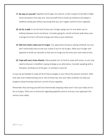- 17. Be easy on yourself. Appetite and hunger are natural, so don't expect to be able to fight these sensations from day one. Give yourself time to build-up resilience and adopt a healthier eating plan before assuming that you can't regain control of your appetite.
- 18. Go for a walk. It can be hard to face your hunger pangs one-on-one when you're halfway between lunch and dinner. Consider going for a brief and brisk walk when your cravings hit to burn off some energy and refocus your attention.
- 19. Skip the snacks unless you're hungry. You appreciate having an eating schedule, but you don't technically have to eat your snacks if you're not hungry. Allow your hunger and appetite to build-up naturally so that you're hungry by the time your next meal arrives.
- 20. Cope with your stress directly. Many people turn to food to cope with stress, so you may need to discover a healthier coping strategy as an alternative. Consider speaking with a therapist, working out at the gym, or writing in a journal.

It may not be feasible to make all 20 of these changes in your life at the present moment. With that said, even implementing one or two of these tips into your daily schedule can help you progress toward having maximum control of your appetite.

Remember that starving yourself and intentionally skipping meals won't train your body not to be so hungry. There are no shortcuts regarding appetite control, and you must approach this serious issue safely.